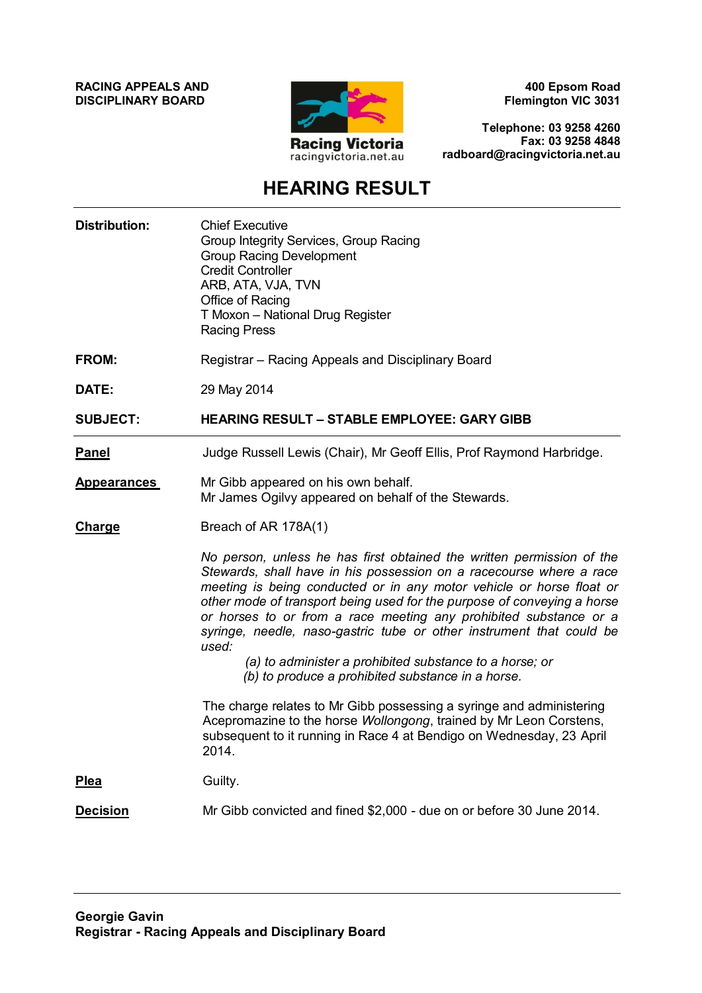**RACING APPEALS AND DISCIPLINARY BOARD**



**400 Epsom Road Flemington VIC 3031**

**Telephone: 03 9258 4260 Fax: 03 9258 4848 radboard@racingvictoria.net.au**

## **HEARING RESULT**

| <b>Distribution:</b> | <b>Chief Executive</b><br>Group Integrity Services, Group Racing<br><b>Group Racing Development</b><br><b>Credit Controller</b><br>ARB, ATA, VJA, TVN<br>Office of Racing<br>T Moxon - National Drug Register<br><b>Racing Press</b>                                                                                                                                                                                                                                                                                                                                  |
|----------------------|-----------------------------------------------------------------------------------------------------------------------------------------------------------------------------------------------------------------------------------------------------------------------------------------------------------------------------------------------------------------------------------------------------------------------------------------------------------------------------------------------------------------------------------------------------------------------|
| <b>FROM:</b>         | Registrar - Racing Appeals and Disciplinary Board                                                                                                                                                                                                                                                                                                                                                                                                                                                                                                                     |
| DATE:                | 29 May 2014                                                                                                                                                                                                                                                                                                                                                                                                                                                                                                                                                           |
| <b>SUBJECT:</b>      | <b>HEARING RESULT - STABLE EMPLOYEE: GARY GIBB</b>                                                                                                                                                                                                                                                                                                                                                                                                                                                                                                                    |
| <u>Panel</u>         | Judge Russell Lewis (Chair), Mr Geoff Ellis, Prof Raymond Harbridge.                                                                                                                                                                                                                                                                                                                                                                                                                                                                                                  |
| <b>Appearances</b>   | Mr Gibb appeared on his own behalf.<br>Mr James Ogilvy appeared on behalf of the Stewards.                                                                                                                                                                                                                                                                                                                                                                                                                                                                            |
| Charge               | Breach of AR 178A(1)                                                                                                                                                                                                                                                                                                                                                                                                                                                                                                                                                  |
|                      | No person, unless he has first obtained the written permission of the<br>Stewards, shall have in his possession on a racecourse where a race<br>meeting is being conducted or in any motor vehicle or horse float or<br>other mode of transport being used for the purpose of conveying a horse<br>or horses to or from a race meeting any prohibited substance or a<br>syringe, needle, naso-gastric tube or other instrument that could be<br>used:<br>(a) to administer a prohibited substance to a horse; or<br>(b) to produce a prohibited substance in a horse. |
|                      | The charge relates to Mr Gibb possessing a syringe and administering<br>Acepromazine to the horse Wollongong, trained by Mr Leon Corstens,<br>subsequent to it running in Race 4 at Bendigo on Wednesday, 23 April<br>2014.                                                                                                                                                                                                                                                                                                                                           |
| <b>Plea</b>          | Guilty.                                                                                                                                                                                                                                                                                                                                                                                                                                                                                                                                                               |
| <b>Decision</b>      | Mr Gibb convicted and fined \$2,000 - due on or before 30 June 2014.                                                                                                                                                                                                                                                                                                                                                                                                                                                                                                  |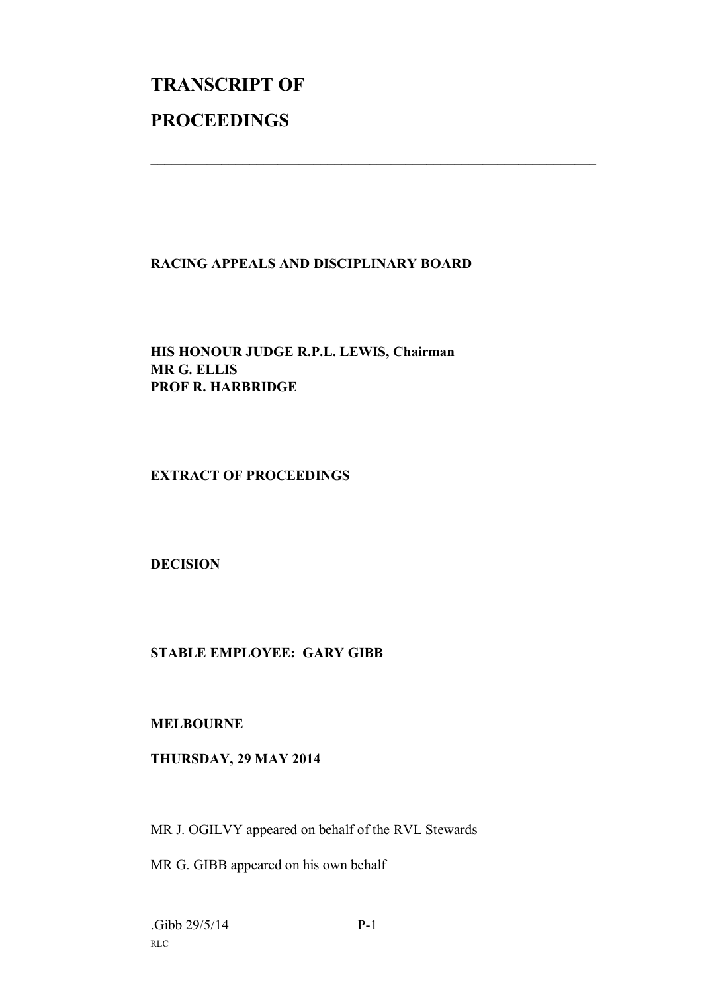# **TRANSCRIPT OF PROCEEDINGS**

#### **RACING APPEALS AND DISCIPLINARY BOARD**

 $\mathcal{L}_\text{max}$  , and the contribution of the contribution of the contribution of the contribution of the contribution of the contribution of the contribution of the contribution of the contribution of the contribution of t

**HIS HONOUR JUDGE R.P.L. LEWIS, Chairman MR G. ELLIS PROF R. HARBRIDGE**

**EXTRACT OF PROCEEDINGS**

**DECISION**

### **STABLE EMPLOYEE: GARY GIBB**

**MELBOURNE**

#### **THURSDAY, 29 MAY 2014**

MR J. OGILVY appeared on behalf of the RVL Stewards

MR G. GIBB appeared on his own behalf